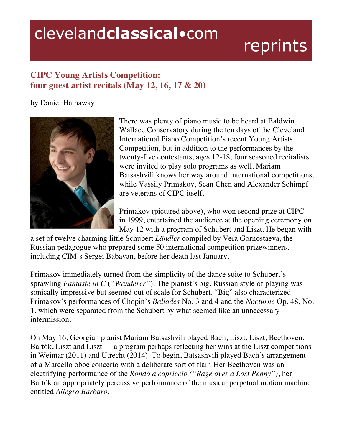## clevelandclassical.com

## reprints

## **CIPC Young Artists Competition: four guest artist recitals (May 12, 16, 17 & 20)**

## by Daniel Hathaway



There was plenty of piano music to be heard at Baldwin Wallace Conservatory during the ten days of the Cleveland International Piano Competition's recent Young Artists Competition, but in addition to the performances by the twenty-five contestants, ages 12-18, four seasoned recitalists were invited to play solo programs as well. Mariam Batsashvili knows her way around international competitions, while Vassily Primakov, Sean Chen and Alexander Schimpf are veterans of CIPC itself.

Primakov (pictured above), who won second prize at CIPC in 1999, entertained the audience at the opening ceremony on May 12 with a program of Schubert and Liszt. He began with

a set of twelve charming little Schubert *Ländler* compiled by Vera Gornostaeva, the Russian pedagogue who prepared some 50 international competition prizewinners, including CIM's Sergei Babayan, before her death last January.

Primakov immediately turned from the simplicity of the dance suite to Schubert's sprawling *Fantasie in C* (*"Wanderer"*)*.* The pianist's big, Russian style of playing was sonically impressive but seemed out of scale for Schubert. "Big" also characterized Primakov's performances of Chopin's *Ballades* No. 3 and 4 and the *Nocturne* Op. 48, No. 1, which were separated from the Schubert by what seemed like an unnecessary intermission.

On May 16, Georgian pianist Mariam Batsashvili played Bach, Liszt, Liszt, Beethoven, Bartók, Liszt and Liszt — a program perhaps reflecting her wins at the Liszt competitions in Weimar (2011) and Utrecht (2014). To begin, Batsashvili played Bach's arrangement of a Marcello oboe concerto with a deliberate sort of flair. Her Beethoven was an electrifying performance of the *Rondo a capriccio ("Rage over a Lost Penny")*, her Bartók an appropriately percussive performance of the musical perpetual motion machine entitled *Allegro Barbaro.*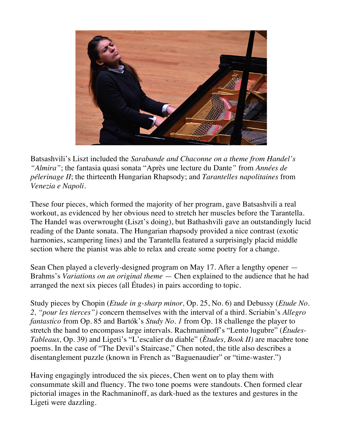

Batsashvili's Liszt included the *Sarabande and Chaconne on a theme from Handel's "Almira"*; the fantasia quasi sonata "Après une lecture du Dante*"* from *Années de pélerinage II*; the thirteenth Hungarian Rhapsody; and *Tarantelles napolitaines* from *Venezia e Napoli.* 

These four pieces, which formed the majority of her program, gave Batsashvili a real workout, as evidenced by her obvious need to stretch her muscles before the Tarantella. The Handel was overwrought (Liszt's doing), but Bathashvili gave an outstandingly lucid reading of the Dante sonata. The Hungarian rhapsody provided a nice contrast (exotic harmonies, scampering lines) and the Tarantella featured a surprisingly placid middle section where the pianist was able to relax and create some poetry for a change.

Sean Chen played a cleverly-designed program on May 17. After a lengthy opener — Brahms's *Variations on an original theme* — Chen explained to the audience that he had arranged the next six pieces (all Études) in pairs according to topic.

Study pieces by Chopin (*Etude in g-sharp minor,* Op. 25, No. 6) and Debussy (*Etude No. 2, "pour les tierces")* concern themselves with the interval of a third. Scriabin's *Allegro fantastico* from Op. 85 and Bartók's *Study No. 1* from Op. 18 challenge the player to stretch the hand to encompass large intervals. Rachmaninoff's "Lento lugubre" (*Études-Tableaux,* Op. 39) and Ligeti's "L'escalier du diable" (*Ètudes, Book II)* are macabre tone poems. In the case of "The Devil's Staircase," Chen noted, the title also describes a disentanglement puzzle (known in French as "Baguenaudier" or "time-waster.")

Having engagingly introduced the six pieces, Chen went on to play them with consummate skill and fluency. The two tone poems were standouts. Chen formed clear pictorial images in the Rachmaninoff, as dark-hued as the textures and gestures in the Ligeti were dazzling.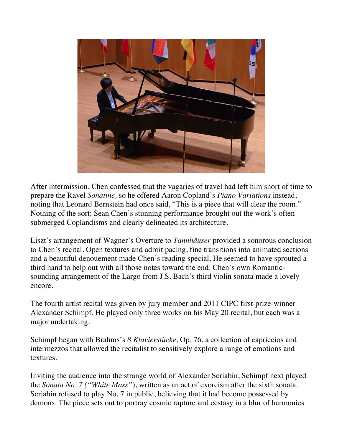

After intermission, Chen confessed that the vagaries of travel had left him short of time to prepare the Ravel *Sonatine,* so he offered Aaron Copland's *Piano Variations* instead, noting that Leonard Bernstein had once said, "This is a piece that will clear the room." Nothing of the sort; Sean Chen's stunning performance brought out the work's often submerged Coplandisms and clearly delineated its architecture.

Liszt's arrangement of Wagner's Overture to *Tannhäuser* provided a sonorous conclusion to Chen's recital. Open textures and adroit pacing, fine transitions into animated sections and a beautiful denouement made Chen's reading special. He seemed to have sprouted a third hand to help out with all those notes toward the end. Chen's own Romanticsounding arrangement of the Largo from J.S. Bach's third violin sonata made a lovely encore.

The fourth artist recital was given by jury member and 2011 CIPC first-prize-winner Alexander Schimpf. He played only three works on his May 20 recital, but each was a major undertaking.

Schimpf began with Brahms's *8 Klavierstücke,* Op. 76, a collection of capriccios and intermezzos that allowed the recitalist to sensitively explore a range of emotions and textures.

Inviting the audience into the strange world of Alexander Scriabin, Schimpf next played the *Sonata No. 7 ("White Mass"*), written as an act of exorcism after the sixth sonata. Scriabin refused to play No. 7 in public, believing that it had become possessed by demons. The piece sets out to portray cosmic rapture and ecstasy in a blur of harmonies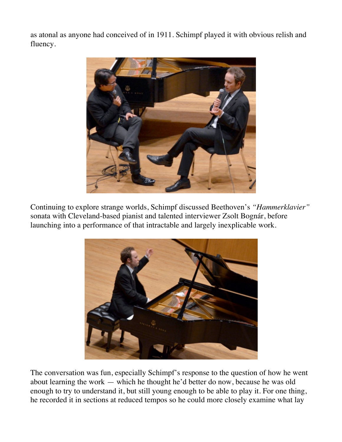as atonal as anyone had conceived of in 1911. Schimpf played it with obvious relish and fluency.



Continuing to explore strange worlds, Schimpf discussed Beethoven's *"Hammerklavier"* sonata with Cleveland-based pianist and talented interviewer Zsolt Bognár, before launching into a performance of that intractable and largely inexplicable work.



The conversation was fun, especially Schimpf's response to the question of how he went about learning the work — which he thought he'd better do now, because he was old enough to try to understand it, but still young enough to be able to play it. For one thing, he recorded it in sections at reduced tempos so he could more closely examine what lay